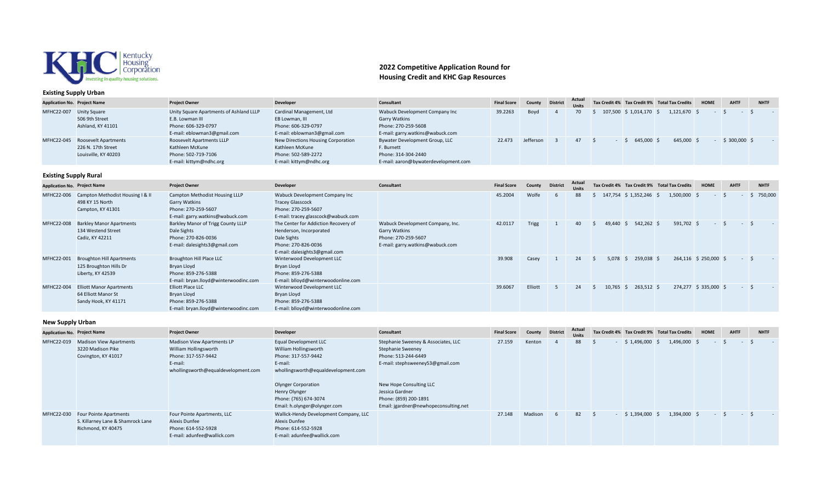

### **Existing Supply Urban**

## **2022 Competitive Application Round for Housing Credit and KHC Gap Resources**

| <b>Application No. Project Name</b> |                                 | <b>Project Owner</b>                                       | <b>Developer</b>                           | Consultant                                      | <b>Final Score</b> | County    | <b>District</b> | Actual<br><b>Units</b> |                      | Tax Credit 4% Tax Credit 9% Total Tax Credits | HOME | <b>AHTF</b>   | <b>NHTF</b> |
|-------------------------------------|---------------------------------|------------------------------------------------------------|--------------------------------------------|-------------------------------------------------|--------------------|-----------|-----------------|------------------------|----------------------|-----------------------------------------------|------|---------------|-------------|
| MFHC22-007 Unity Square             | 506 9th Street                  | Unity Square Apartments of Ashland LLLP<br>E.B. Lowman III | Cardinal Management, Ltd<br>EB Lowman, III | Wabuck Development Company Inc<br>Garry Watkins | 39.2263            | Boyd      |                 |                        | 107,500 \$ 1,014,170 | 1,121,670 \$                                  |      |               |             |
|                                     | Ashland, KY 41101               | Phone: 606-329-0797                                        | Phone: 606-329-0797                        | Phone: 270-259-5608                             |                    |           |                 |                        |                      |                                               |      |               |             |
|                                     |                                 | E-mail: eblowman3@gmail.com                                | E-mail: eblowman3@gmail.com                | E-mail: garry.watkins@wabuck.com                |                    |           |                 |                        |                      |                                               |      |               |             |
|                                     | MFHC22-045 Roosevelt Apartments | Roosevelt Apartments LLLP                                  | New Directions Housing Corporation         | Bywater Development Group, LLC                  | 22.473             | Jefferson |                 |                        | 645.000              | 645,000 \$                                    |      | $$300,000$ \$ |             |
|                                     | 226 N. 17th Street              | Kathleen McKune                                            | Kathleen McKune                            | F. Burnett                                      |                    |           |                 |                        |                      |                                               |      |               |             |
|                                     | Louisville, KY 40203            | Phone: 502-719-7106                                        | Phone: 502-589-2272                        | Phone: 314-304-2440                             |                    |           |                 |                        |                      |                                               |      |               |             |
|                                     |                                 | E-mail: kittym@ndhc.org                                    | E-mail: kittym@ndhc.org                    | E-mail: aaron@bywaterdevelopment.com            |                    |           |                 |                        |                      |                                               |      |               |             |

# **Existing Supply Rural**

| <b>Application No. Project Name</b> |                                                                                 | <b>Project Owner</b>                                                                                              | Developer                                                                                                                              | Consultant                                                                                                          | <b>Final Score</b> | County       | <b>District</b> | Actual<br><b>Units</b> |             |                         | Tax Credit 4% Tax Credit 9% Total Tax Credits | <b>HOME</b>              | AHTF             | <b>NHTF</b> |
|-------------------------------------|---------------------------------------------------------------------------------|-------------------------------------------------------------------------------------------------------------------|----------------------------------------------------------------------------------------------------------------------------------------|---------------------------------------------------------------------------------------------------------------------|--------------------|--------------|-----------------|------------------------|-------------|-------------------------|-----------------------------------------------|--------------------------|------------------|-------------|
| MFHC22-006                          | Campton Methodist Housing I & II<br>498 KY 15 North<br>Campton, KY 41301        | Campton Methodist Housing LLLP<br><b>Garry Watkins</b><br>Phone: 270-259-5607<br>E-mail: garry.watkins@wabuck.com | Wabuck Development Company Inc<br><b>Tracey Glasscock</b><br>Phone: 270-259-5607<br>E-mail: tracey.glasscock@wabuck.com                |                                                                                                                     | 45.2004            | Wolfe        |                 | 88                     |             | 147,754 \$ 1,352,246 \$ | $1,500,000$ \$                                |                          | $\varsigma$      | \$750,000   |
| <b>MFHC22-008</b>                   | <b>Barkley Manor Apartments</b><br>134 Westend Street<br>Cadiz, KY 42211        | Barkley Manor of Trigg County LLLP<br>Dale Sights<br>Phone: 270-826-0036<br>E-mail: dalesights3@gmail.com         | The Center for Addiction Recovery of<br>Henderson, Incorporated<br>Dale Sights<br>Phone: 270-826-0036<br>E-mail: dalesights3@gmail.com | Wabuck Development Company, Inc.<br><b>Garry Watkins</b><br>Phone: 270-259-5607<br>E-mail: garry.watkins@wabuck.com | 42.0117            | <b>Trigg</b> |                 | 40                     | 49.440      | 542,262 \$              | 591,702 \$                                    | $\overline{\phantom{a}}$ |                  |             |
| MFHC22-001                          | <b>Broughton Hill Apartments</b><br>125 Broughton Hills Dr<br>Liberty, KY 42539 | Broughton Hill Place LLC<br>Bryan Lloyd<br>Phone: 859-276-5388<br>E-mail: bryan.lloyd@winterwoodinc.com           | Winterwood Development LLC<br>Bryan Lloyd<br>Phone: 859-276-5388<br>E-mail: blloyd@winterwoodonline.com                                |                                                                                                                     | 39.908             | Casey        |                 | 24                     | $5,078$ \$  | 259,038 \$              |                                               | 264,116 \$ 250,000 \$    | $\sim$ 100 $\mu$ | ∣S.         |
| MFHC22-004                          | <b>Elliott Manor Apartments</b><br>64 Elliott Manor St<br>Sandy Hook, KY 41171  | <b>Elliott Place LLC</b><br>Bryan Lloyd<br>Phone: 859-276-5388<br>E-mail: bryan.lloyd@winterwoodinc.com           | Winterwood Development LLC<br>Bryan Lloyd<br>Phone: 859-276-5388<br>E-mail: blloyd@winterwoodonline.com                                |                                                                                                                     | 39.6067            | Elliott      |                 | 24                     | $10,765$ \$ | 263,512 \$              |                                               | 274,277 \$ 335,000 \$    | $\sim 100$       | ∣\$         |

#### **New Supply Urban**

| .<br><b>Application No. Project Name</b> |                                                                                          | <b>Project Owner</b>                                                                                                         | <b>Developer</b>                                                                                                                                                                                                                | Consultant                                                                                                                                                                                                                          | <b>Final Score</b> | County  | <b>District</b> | Actual<br><b>Units</b> |     |                 | Tax Credit 4% Tax Credit 9% Total Tax Credits | <b>HOME</b> | <b>AHTF</b> | <b>NHTF</b> |
|------------------------------------------|------------------------------------------------------------------------------------------|------------------------------------------------------------------------------------------------------------------------------|---------------------------------------------------------------------------------------------------------------------------------------------------------------------------------------------------------------------------------|-------------------------------------------------------------------------------------------------------------------------------------------------------------------------------------------------------------------------------------|--------------------|---------|-----------------|------------------------|-----|-----------------|-----------------------------------------------|-------------|-------------|-------------|
| MFHC22-019                               | <b>Madison View Apartments</b><br>3220 Madison Pike<br>Covington, KY 41017               | Madison View Apartments LP<br>William Hollingsworth<br>Phone: 317-557-9442<br>E-mail:<br>whollingsworth@equaldevelopment.com | Equal Development LLC<br>William Hollingsworth<br>Phone: 317-557-9442<br>E-mail:<br>whollingsworth@equaldevelopment.com<br><b>Olynger Corporation</b><br>Henry Olynger<br>Phone: (765) 674-3074<br>Email: h.olynger@olynger.com | Stephanie Sweeney & Associates, LLC<br>Stephanie Sweeney<br>Phone: 513-244-6449<br>E-mail: stephsweeney53@gmail.com<br>New Hope Consulting LLC<br>Jessica Gardner<br>Phone: (859) 200-1891<br>Email: jgardner@newhopeconsulting.net | 27.159             | Kenton  |                 | 88                     |     | $$1,496,000$ \$ | 1,496,000 \$                                  |             |             |             |
| MFHC22-030                               | <b>Four Pointe Apartments</b><br>S. Killarney Lane & Shamrock Lane<br>Richmond, KY 40475 | Four Pointe Apartments, LLC<br>Alexis Dunfee<br>Phone: 614-552-5928<br>E-mail: adunfee@wallick.com                           | Wallick-Hendy Development Company, LLC<br>Alexis Dunfee<br>Phone: 614-552-5928<br>E-mail: adunfee@wallick.com                                                                                                                   |                                                                                                                                                                                                                                     | 27.148             | Madison | -6              | 82                     | - 5 | $$1,394,000$ \$ | 1,394,000 \$                                  |             |             |             |